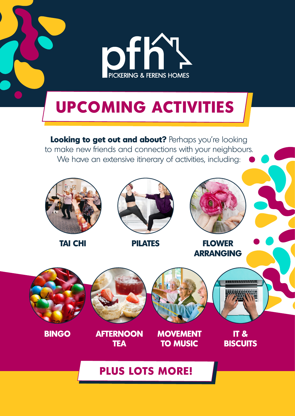

# **TEA**

**AFTERNOON BINGO MOVEMENT TO MUSIC**

**IT & BISCUITS**

# **PLUS LOTS MORE!**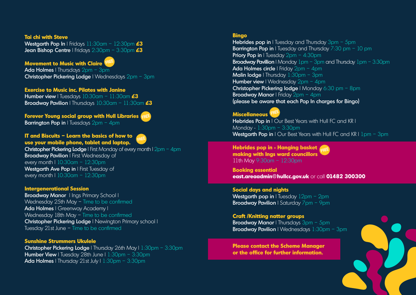#### **Tai chi with Steve**

Westgarth Pop In | Fridays 11:30am – 12:30pm **£3** Jean Bishop Centre | Fridays 2:30pm – 3:30pm **£3**

Ada Holmes | Thursdays 2pm - 3pm Christopher Pickering Lodge | Wednesdays 2pm – 3pm

## **Movement to Music with Claire**

### **Exercise to Music inc. Pilates with Janine**

Humber view | Tuesdays 10:30am – 11:30am **£3** Broadway Pavilion | Thursdays 10:30am – 11:30am **£3**

**Christopher Pickering Lodge** | First Monday of every month |  $2pm - 4pm$ **Broadway Pavilion** | First Wednesday of every month | 10:30am – 12:30pm Westgarth Ave Pop in I First Tuesday of every month | 10:30am – 12:30pm

## **Forever Young social group with Hull Libraries**

Barrington Pop in I Tuesdays 2pm - 4pm



#### **IT and Biscuits – Learn the basics of how to use your mobile phone, tablet and laptop.**



Broadway Manor | Ings Primary School | Wednesday 25th May – Time to be confirmed Ada Holmes | Greenway Academy | Wednesday 18th May – Time to be confirmed Christopher Pickering Lodge | Newington Primary school | Tuesday 21st June – Time to be confirmed

### **Intergenerational Session**

Hebrides pop in I Tuesday and Thursday  $3pm - 5pm$ **Barrington Pop in** I Tuesday and Thursday  $7:30$  pm – 10 pm **Priory Pop in** I Tuesday  $2pm - 4:30pm$ **Broadway Pavillion** | Monday  $1$ pm – 3pm and Thursday  $1$ pm – 3:30pm Ada Holmes circle | Friday 2pm - 4pm **Malin lodge | Thursday 1:30pm - 3pm** Humber view | Wednesday 2pm - 4pm Christopher Pickering lodge | Monday 6:30 pm - 8pm **Broadway Manor** | Friday 2pm - 4pm (please be aware that each Pop In charges for Bingo)

**Social days and nights Westgarth pop in** I Tuesday  $12pm - 2pm$ **Broadway Pavilion** | Saturday 7pm - 9pm

#### **Sunshine Strummers Ukulele**

**Christopher Pickering Lodge** | Thursday 26th May | 1:30pm - 3:30pm **Humber View** | Tuesday 28th June |  $1:30$ pm –  $3:30$ pm Ada Holmes | Thursday 21st July |  $1:30$ pm –  $3:30$ pm

**Craft /Knitting natter groups Broadway Manor** | Thursdays 3pm - 5pm **Broadway Pavilion** | Wednesdays  $1:30$ pm – 3pm

#### **Bingo**

## **Miscellaneous**

Hebrides Pop in | Our Best Years with Hull FC and KR | Monday - 1:30pm – 3:30pm Westgarth Pop in I Our Best Years with Hull FC and KR I 1pm - 3pm

**Hebrides pop in - Hanging basket making with Ings ward councillors** 11th May 9:30am – 12:30pm

**Booking essential east.areaadmin@hullcc.gov.uk** or call **01482 300300** 

**Please contact the Scheme Manager or the office for further information.**